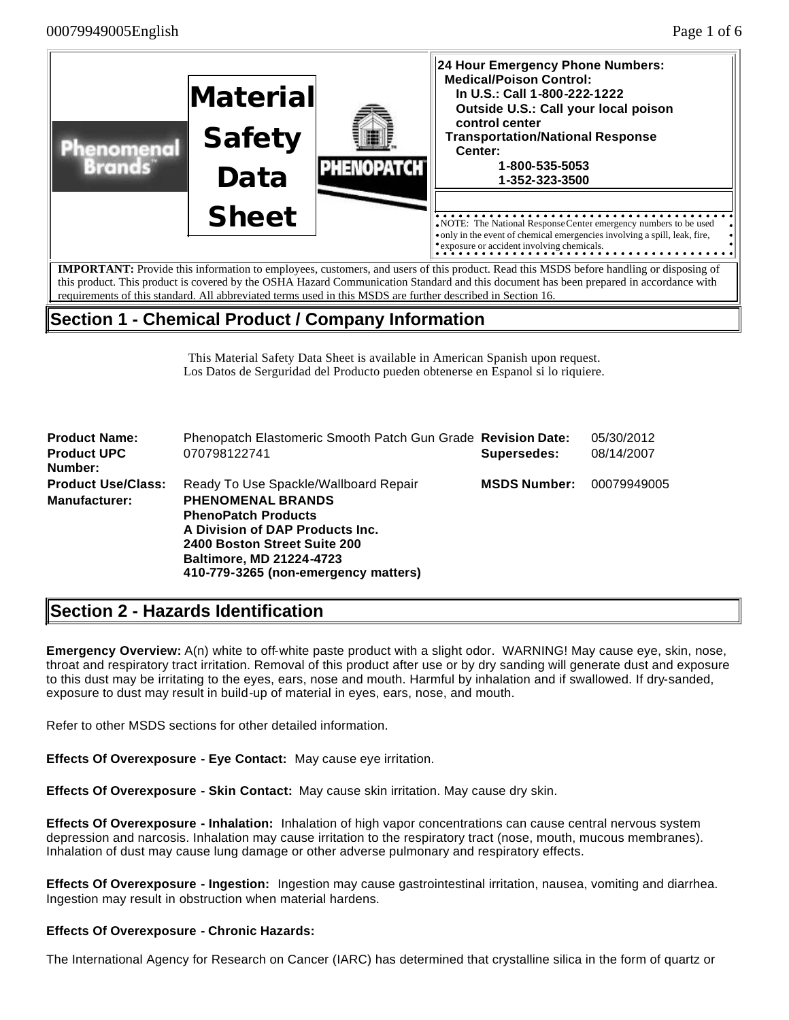

**Section 1 - Chemical Product / Company Information**

This Material Safety Data Sheet is available in American Spanish upon request.

Los Datos de Serguridad del Producto pueden obtenerse en Espanol si lo riquiere.

| <b>Product Name:</b>          | Phenopatch Elastomeric Smooth Patch Gun Grade Revision Date:                                                                                                                                         |                     | 05/30/2012  |
|-------------------------------|------------------------------------------------------------------------------------------------------------------------------------------------------------------------------------------------------|---------------------|-------------|
| <b>Product UPC</b><br>Number: | 070798122741                                                                                                                                                                                         | Supersedes:         | 08/14/2007  |
| <b>Product Use/Class:</b>     | Ready To Use Spackle/Wallboard Repair                                                                                                                                                                | <b>MSDS Number:</b> | 00079949005 |
| <b>Manufacturer:</b>          | <b>PHENOMENAL BRANDS</b><br><b>PhenoPatch Products</b><br>A Division of DAP Products Inc.<br>2400 Boston Street Suite 200<br><b>Baltimore, MD 21224-4723</b><br>410-779-3265 (non-emergency matters) |                     |             |

# **Section 2 - Hazards Identification**

**Emergency Overview:** A(n) white to off-white paste product with a slight odor. WARNING! May cause eye, skin, nose, throat and respiratory tract irritation. Removal of this product after use or by dry sanding will generate dust and exposure to this dust may be irritating to the eyes, ears, nose and mouth. Harmful by inhalation and if swallowed. If dry-sanded, exposure to dust may result in build-up of material in eyes, ears, nose, and mouth.

Refer to other MSDS sections for other detailed information.

**Effects Of Overexposure - Eye Contact:** May cause eye irritation.

**Effects Of Overexposure - Skin Contact:** May cause skin irritation. May cause dry skin.

**Effects Of Overexposure - Inhalation:** Inhalation of high vapor concentrations can cause central nervous system depression and narcosis. Inhalation may cause irritation to the respiratory tract (nose, mouth, mucous membranes). Inhalation of dust may cause lung damage or other adverse pulmonary and respiratory effects.

**Effects Of Overexposure - Ingestion:** Ingestion may cause gastrointestinal irritation, nausea, vomiting and diarrhea. Ingestion may result in obstruction when material hardens.

### **Effects Of Overexposure - Chronic Hazards:**

The International Agency for Research on Cancer (IARC) has determined that crystalline silica in the form of quartz or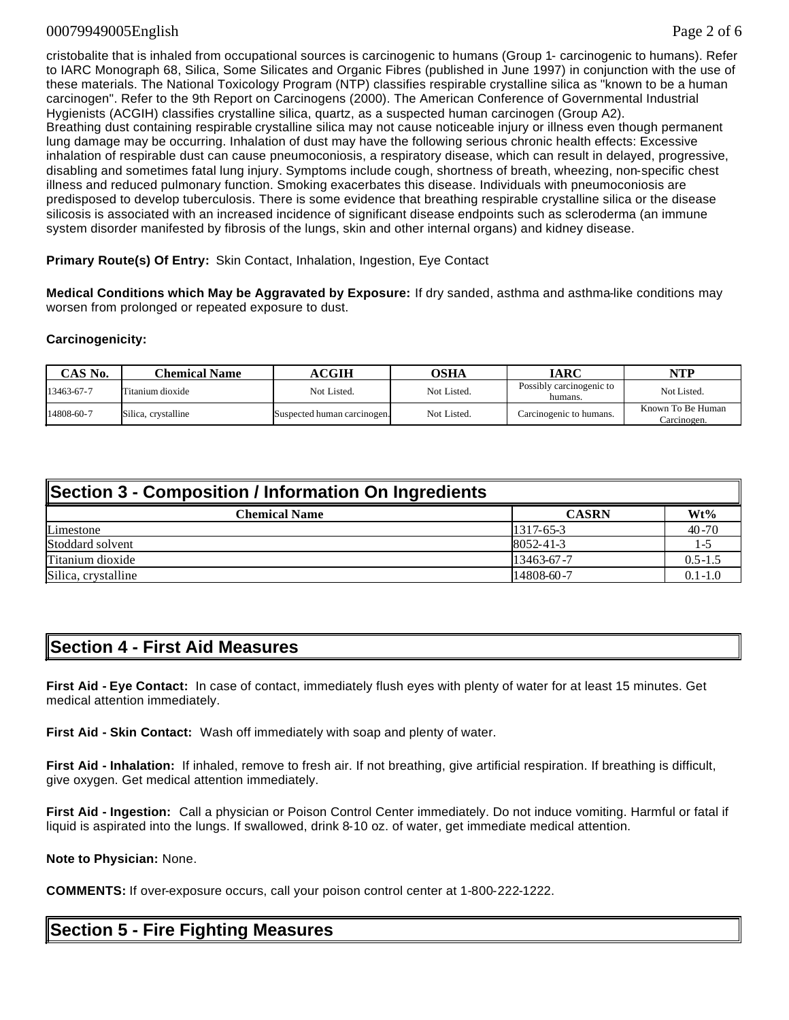### 00079949005English Page 2 of 6

cristobalite that is inhaled from occupational sources is carcinogenic to humans (Group 1- carcinogenic to humans). Refer to IARC Monograph 68, Silica, Some Silicates and Organic Fibres (published in June 1997) in conjunction with the use of these materials. The National Toxicology Program (NTP) classifies respirable crystalline silica as "known to be a human carcinogen". Refer to the 9th Report on Carcinogens (2000). The American Conference of Governmental Industrial Hygienists (ACGIH) classifies crystalline silica, quartz, as a suspected human carcinogen (Group A2). Breathing dust containing respirable crystalline silica may not cause noticeable injury or illness even though permanent lung damage may be occurring. Inhalation of dust may have the following serious chronic health effects: Excessive inhalation of respirable dust can cause pneumoconiosis, a respiratory disease, which can result in delayed, progressive, disabling and sometimes fatal lung injury. Symptoms include cough, shortness of breath, wheezing, non-specific chest illness and reduced pulmonary function. Smoking exacerbates this disease. Individuals with pneumoconiosis are predisposed to develop tuberculosis. There is some evidence that breathing respirable crystalline silica or the disease silicosis is associated with an increased incidence of significant disease endpoints such as scleroderma (an immune system disorder manifested by fibrosis of the lungs, skin and other internal organs) and kidney disease.

**Primary Route(s) Of Entry:** Skin Contact, Inhalation, Ingestion, Eye Contact

**Medical Conditions which May be Aggravated by Exposure:** If dry sanded, asthma and asthma-like conditions may worsen from prolonged or repeated exposure to dust.

#### **Carcinogenicity:**

| CAS No.    | Chemical Name       | <b>ACGIH</b>                | <b>OSHA</b> | IARC                                | <b>NTP</b>                       |
|------------|---------------------|-----------------------------|-------------|-------------------------------------|----------------------------------|
| 13463-67-7 | Titanium dioxide    | Not Listed.                 | Not Listed. | Possibly carcinogenic to<br>humans. | Not Listed.                      |
| 14808-60-7 | Silica, crystalline | Suspected human carcinogen. | Not Listed. | Carcinogenic to humans.             | Known To Be Human<br>Carcinogen. |

| Section 3 - Composition / Information On Ingredients |              |             |  |  |
|------------------------------------------------------|--------------|-------------|--|--|
| <b>Chemical Name</b>                                 | <b>CASRN</b> | $Wt\%$      |  |  |
| Limestone                                            | $1317-65-3$  | $40 - 70$   |  |  |
| Stoddard solvent                                     | 8052-41-3    | $1 - 5$     |  |  |
| Titanium dioxide                                     | 13463-67-7   | $0.5 - 1.5$ |  |  |
| Silica, crystalline                                  | 14808-60-7   | $0.1 - 1.0$ |  |  |

### **Section 4 - First Aid Measures**

**First Aid - Eye Contact:** In case of contact, immediately flush eyes with plenty of water for at least 15 minutes. Get medical attention immediately.

**First Aid - Skin Contact:** Wash off immediately with soap and plenty of water.

**First Aid - Inhalation:** If inhaled, remove to fresh air. If not breathing, give artificial respiration. If breathing is difficult, give oxygen. Get medical attention immediately.

**First Aid - Ingestion:** Call a physician or Poison Control Center immediately. Do not induce vomiting. Harmful or fatal if liquid is aspirated into the lungs. If swallowed, drink 8-10 oz. of water, get immediate medical attention.

#### **Note to Physician:** None.

**COMMENTS:** If over-exposure occurs, call your poison control center at 1-800-222-1222.

## **Section 5 - Fire Fighting Measures**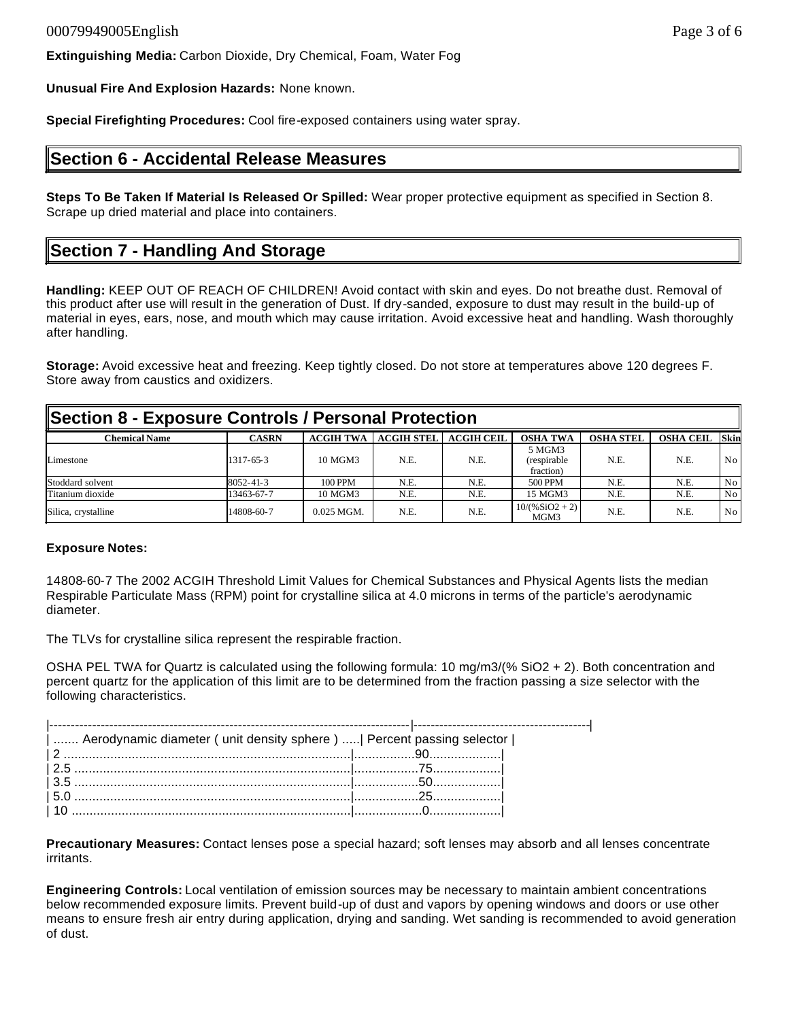**Extinguishing Media:** Carbon Dioxide, Dry Chemical, Foam, Water Fog

**Unusual Fire And Explosion Hazards:** None known.

**Special Firefighting Procedures:** Cool fire-exposed containers using water spray.

### **Section 6 - Accidental Release Measures**

**Steps To Be Taken If Material Is Released Or Spilled:** Wear proper protective equipment as specified in Section 8. Scrape up dried material and place into containers.

## **Section 7 - Handling And Storage**

**Handling:** KEEP OUT OF REACH OF CHILDREN! Avoid contact with skin and eyes. Do not breathe dust. Removal of this product after use will result in the generation of Dust. If dry-sanded, exposure to dust may result in the build-up of material in eyes, ears, nose, and mouth which may cause irritation. Avoid excessive heat and handling. Wash thoroughly after handling.

**Storage:** Avoid excessive heat and freezing. Keep tightly closed. Do not store at temperatures above 120 degrees F. Store away from caustics and oxidizers.

| Section 8 - Exposure Controls / Personal Protection |              |                  |                   |                   |                                    |                  |                  |             |
|-----------------------------------------------------|--------------|------------------|-------------------|-------------------|------------------------------------|------------------|------------------|-------------|
| <b>Chemical Name</b>                                | <b>CASRN</b> | <b>ACGIH TWA</b> | <b>ACGIH STEL</b> | <b>ACGIH CEIL</b> | <b>OSHA TWA</b>                    | <b>OSHA STEL</b> | <b>OSHA CEIL</b> | <b>Skin</b> |
| Limestone                                           | 1317-65-3    | 10 MGM3          | N.E.              | N.E.              | 5 MGM3<br>(respirable<br>fraction) | N.E.             | N.E.             | No.         |
| Stoddard solvent                                    | 8052-41-3    | 100 PPM          | N.E.              | N.E.              | 500 PPM                            | N.E.             | N.E.             | No          |
| Titanium dioxide                                    | 13463-67-7   | 10 MGM3          | N.E.              | N.E.              | 15 MGM3                            | N.E.             | N.E.             | No.         |
| Silica, crystalline                                 | 14808-60-7   | $0.025$ MGM.     | N.E.              | N.E.              | $10/(96SiO2 + 2)$<br>MGM3          | N.E.             | N.E.             | No.         |

#### **Exposure Notes:**

14808-60-7 The 2002 ACGIH Threshold Limit Values for Chemical Substances and Physical Agents lists the median Respirable Particulate Mass (RPM) point for crystalline silica at 4.0 microns in terms of the particle's aerodynamic diameter.

The TLVs for crystalline silica represent the respirable fraction.

OSHA PEL TWA for Quartz is calculated using the following formula: 10 mg/m3/(% SiO2 + 2). Both concentration and percent quartz for the application of this limit are to be determined from the fraction passing a size selector with the following characteristics.

| Aerodynamic diameter ( unit density sphere )    Percent passing selector |  |
|--------------------------------------------------------------------------|--|
|                                                                          |  |
|                                                                          |  |
|                                                                          |  |
|                                                                          |  |
|                                                                          |  |

**Precautionary Measures:** Contact lenses pose a special hazard; soft lenses may absorb and all lenses concentrate irritants.

**Engineering Controls:** Local ventilation of emission sources may be necessary to maintain ambient concentrations below recommended exposure limits. Prevent build-up of dust and vapors by opening windows and doors or use other means to ensure fresh air entry during application, drying and sanding. Wet sanding is recommended to avoid generation of dust.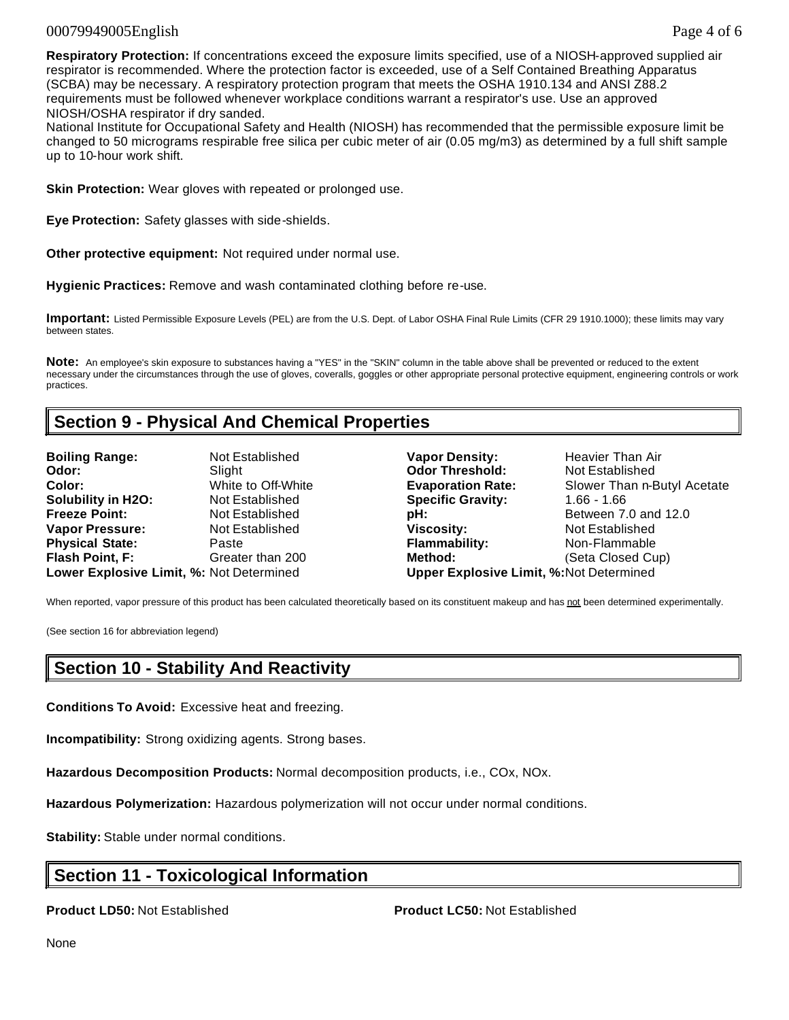### 00079949005English Page 4 of 6

**Respiratory Protection:** If concentrations exceed the exposure limits specified, use of a NIOSH-approved supplied air respirator is recommended. Where the protection factor is exceeded, use of a Self Contained Breathing Apparatus (SCBA) may be necessary. A respiratory protection program that meets the OSHA 1910.134 and ANSI Z88.2 requirements must be followed whenever workplace conditions warrant a respirator's use. Use an approved NIOSH/OSHA respirator if dry sanded.

National Institute for Occupational Safety and Health (NIOSH) has recommended that the permissible exposure limit be changed to 50 micrograms respirable free silica per cubic meter of air (0.05 mg/m3) as determined by a full shift sample up to 10-hour work shift.

**Skin Protection:** Wear gloves with repeated or prolonged use.

**Eye Protection:** Safety glasses with side-shields.

**Other protective equipment:** Not required under normal use.

**Hygienic Practices:** Remove and wash contaminated clothing before re-use.

**Important:** Listed Permissible Exposure Levels (PEL) are from the U.S. Dept. of Labor OSHA Final Rule Limits (CFR 29 1910.1000); these limits may vary between states.

**Note:** An employee's skin exposure to substances having a "YES" in the "SKIN" column in the table above shall be prevented or reduced to the extent necessary under the circumstances through the use of gloves, coveralls, goggles or other appropriate personal protective equipment, engineering controls or work practices.

### **Section 9 - Physical And Chemical Properties**

| <b>Boiling Range:</b>                    | Not Established    |
|------------------------------------------|--------------------|
| Odor:                                    | Slight             |
| Color:                                   | White to Off-White |
| <b>Solubility in H2O:</b>                | Not Established    |
| <b>Freeze Point:</b>                     | Not Established    |
| <b>Vapor Pressure:</b>                   | Not Established    |
| <b>Physical State:</b>                   | Paste              |
| Flash Point, F:                          | Greater than 200   |
| Lower Explosive Limit. %: Not Determined |                    |

**Vapor Density:** Heavier Than Air **Odor Threshold:** Not Established **Evaporation Rate:** Slower Than n-Butyl Acetate **Specific Gravity: 1.66 - 1.66 pH: Between 7.0 and 12.0 Viscosity: Not Established Flammability:** Non-Flammable **Figure 1.5 Method:** (Seta Closed Cup) **Lower Explosive Limit, %:** Not Determined **Upper Explosive Limit, %:**Not Determined

When reported, vapor pressure of this product has been calculated theoretically based on its constituent makeup and has not been determined experimentally.

(See section 16 for abbreviation legend)

### **Section 10 - Stability And Reactivity**

**Conditions To Avoid:** Excessive heat and freezing.

**Incompatibility:** Strong oxidizing agents. Strong bases.

**Hazardous Decomposition Products:** Normal decomposition products, i.e., COx, NOx.

**Hazardous Polymerization:** Hazardous polymerization will not occur under normal conditions.

**Stability:** Stable under normal conditions.

### **Section 11 - Toxicological Information**

**Product LD50:** Not Established **Product LC50:** Not Established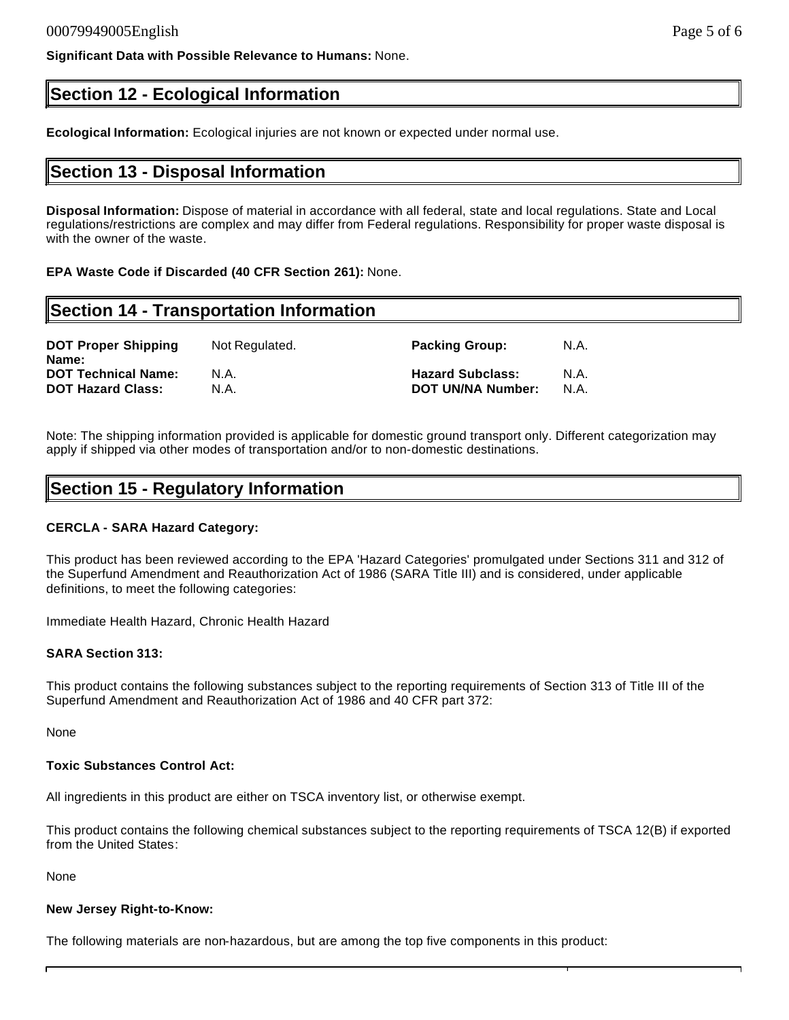**Significant Data with Possible Relevance to Humans:** None.

## **Section 12 - Ecological Information**

**Ecological Information:** Ecological injuries are not known or expected under normal use.

### **Section 13 - Disposal Information**

**Disposal Information:** Dispose of material in accordance with all federal, state and local regulations. State and Local regulations/restrictions are complex and may differ from Federal regulations. Responsibility for proper waste disposal is with the owner of the waste.

**EPA Waste Code if Discarded (40 CFR Section 261):** None.

## **Section 14 - Transportation Information**

| <b>DOT Proper Shipping</b><br>Name: | Not Regulated. | <b>Packing Group:</b>    | N.A. |
|-------------------------------------|----------------|--------------------------|------|
| <b>DOT Technical Name:</b>          | N.A.           | <b>Hazard Subclass:</b>  | N.A. |
| <b>DOT Hazard Class:</b>            | N.A.           | <b>DOT UN/NA Number:</b> | N.A. |

Note: The shipping information provided is applicable for domestic ground transport only. Different categorization may apply if shipped via other modes of transportation and/or to non-domestic destinations.

### **Section 15 - Regulatory Information**

### **CERCLA - SARA Hazard Category:**

This product has been reviewed according to the EPA 'Hazard Categories' promulgated under Sections 311 and 312 of the Superfund Amendment and Reauthorization Act of 1986 (SARA Title III) and is considered, under applicable definitions, to meet the following categories:

Immediate Health Hazard, Chronic Health Hazard

#### **SARA Section 313:**

This product contains the following substances subject to the reporting requirements of Section 313 of Title III of the Superfund Amendment and Reauthorization Act of 1986 and 40 CFR part 372:

None

#### **Toxic Substances Control Act:**

All ingredients in this product are either on TSCA inventory list, or otherwise exempt.

This product contains the following chemical substances subject to the reporting requirements of TSCA 12(B) if exported from the United States:

None

#### **New Jersey Right-to-Know:**

The following materials are non-hazardous, but are among the top five components in this product: